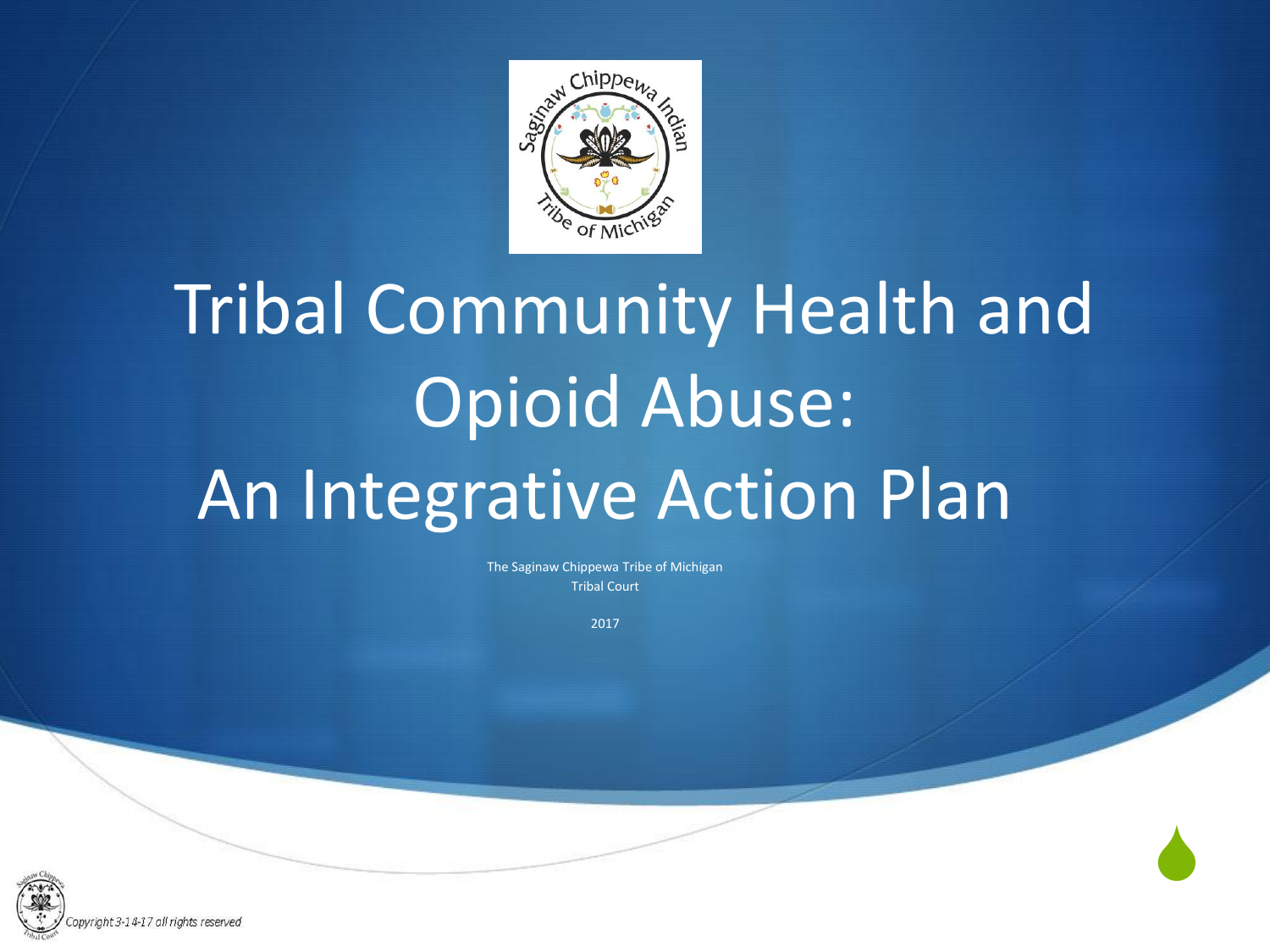

The Saginaw Chippewa Tribe of Michigan Tribal Court

2017

 $\blacklozenge$ 

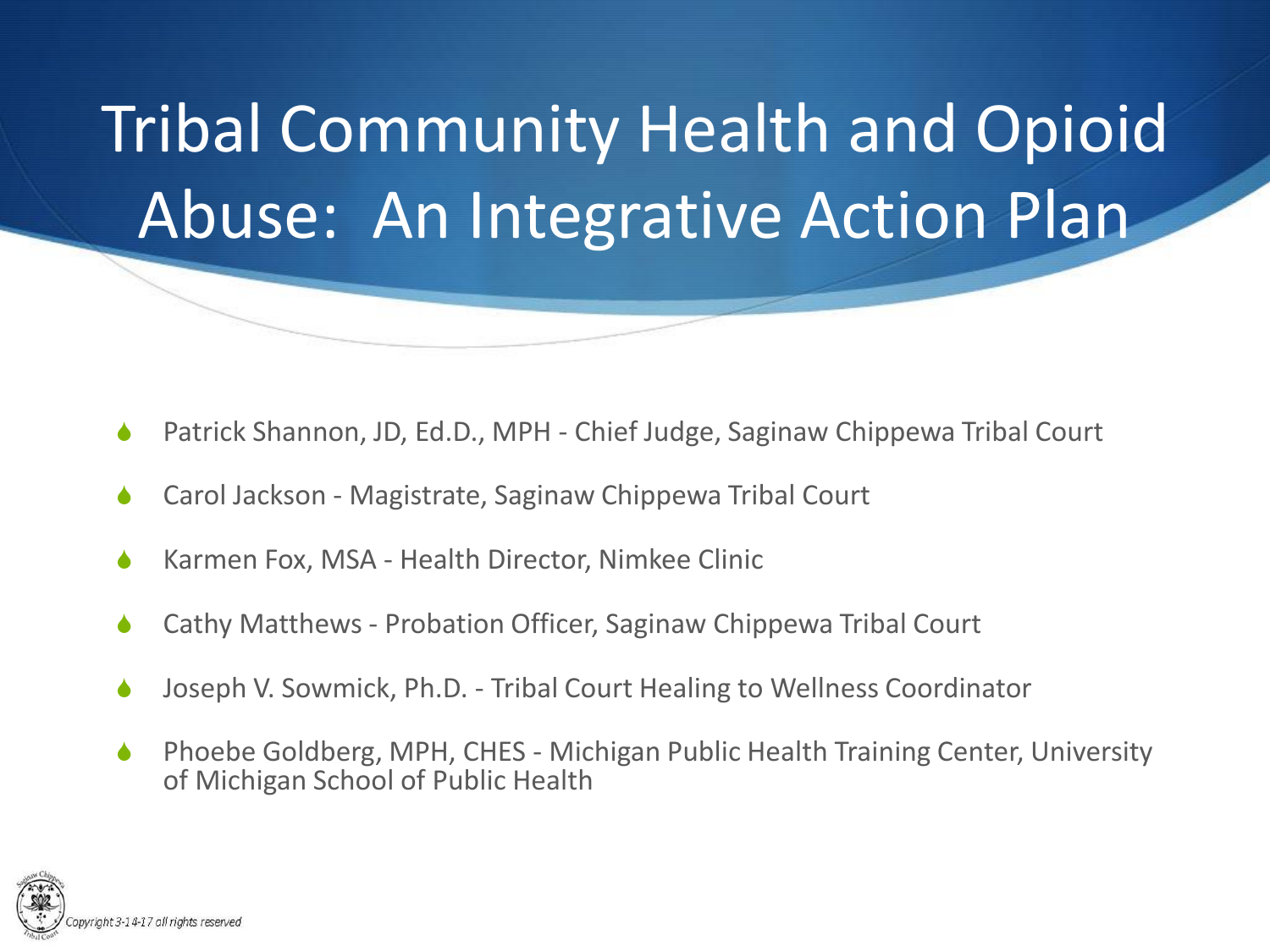

- Patrick Shannon, JD, Ed.D., MPH Chief Judge, Saginaw Chippewa Tribal Court
- Carol Jackson Magistrate, Saginaw Chippewa Tribal Court
- Karmen Fox, MSA Health Director, Nimkee Clinic
- Cathy Matthews Probation Officer, Saginaw Chippewa Tribal Court
- Joseph V. Sowmick, Ph.D. Tribal Court Healing to Wellness Coordinator
- Phoebe Goldberg, MPH, CHES Michigan Public Health Training Center, University of Michigan School of Public Health

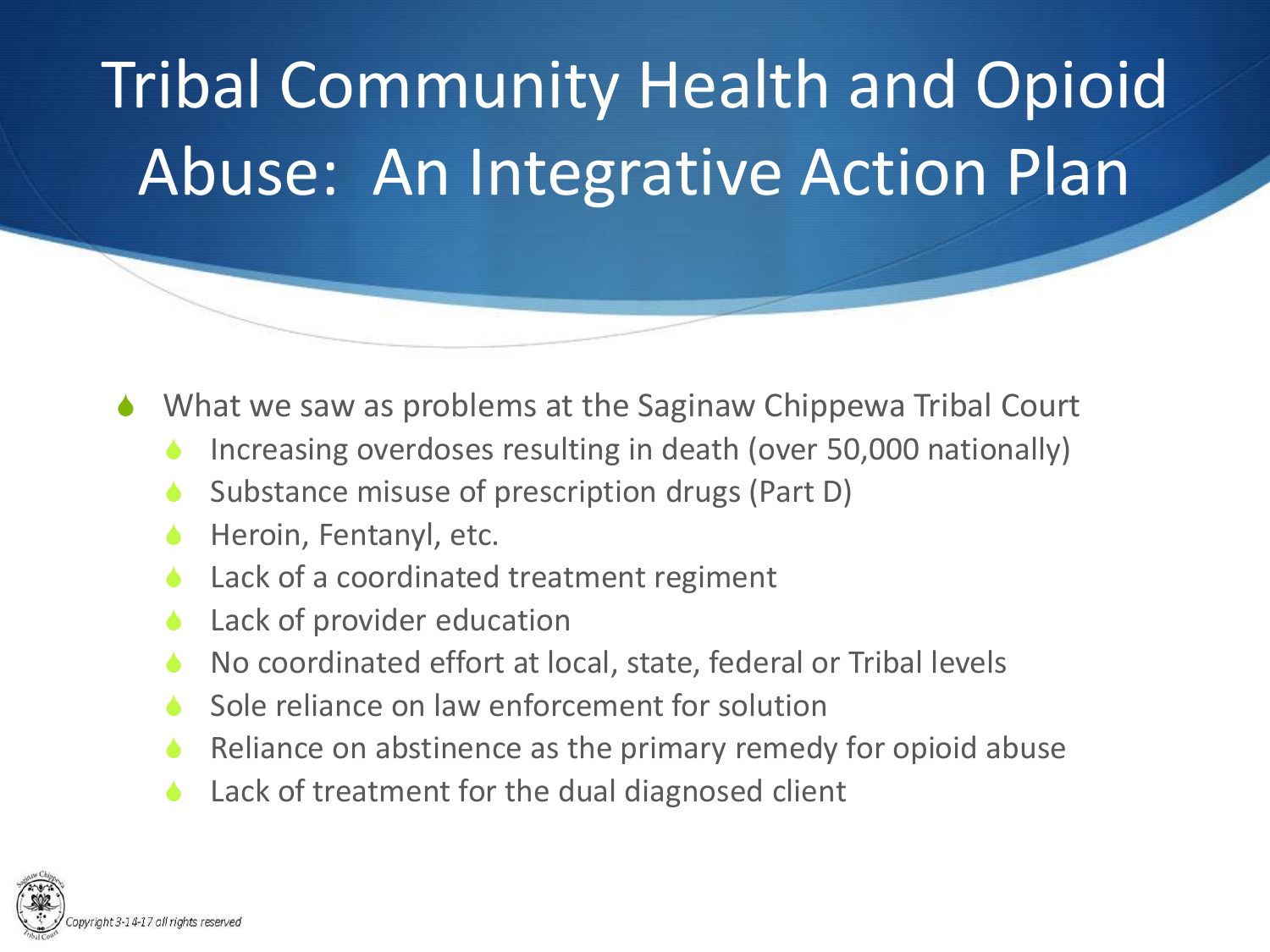- What we saw as problems at the Saginaw Chippewa Tribal Court
	- Increasing overdoses resulting in death (over 50,000 nationally)
	- Substance misuse of prescription drugs (Part D)
	- Heroin, Fentanyl, etc.
	- Lack of a coordinated treatment regiment
	- Lack of provider education
	- No coordinated effort at local, state, federal or Tribal levels
	- Sole reliance on law enforcement for solution
	- Reliance on abstinence as the primary remedy for opioid abuse
	- $\triangle$  Lack of treatment for the dual diagnosed client

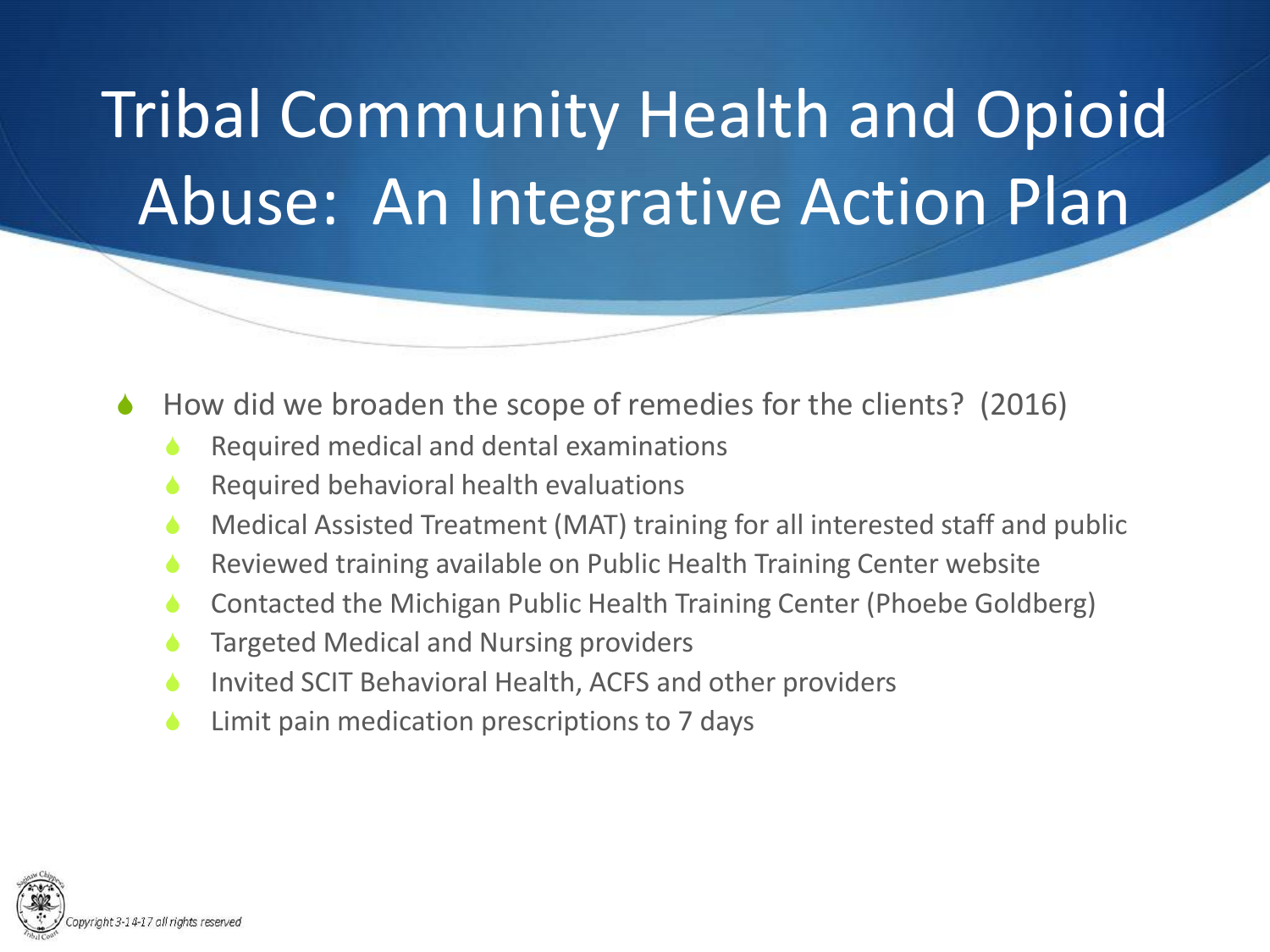- How did we broaden the scope of remedies for the clients? (2016)
	- Required medical and dental examinations
	- Required behavioral health evaluations
	- Medical Assisted Treatment (MAT) training for all interested staff and public
	- Reviewed training available on Public Health Training Center website
	- Contacted the Michigan Public Health Training Center (Phoebe Goldberg)
	- Targeted Medical and Nursing providers
	- **S** Invited SCIT Behavioral Health, ACFS and other providers
	- Limit pain medication prescriptions to 7 days

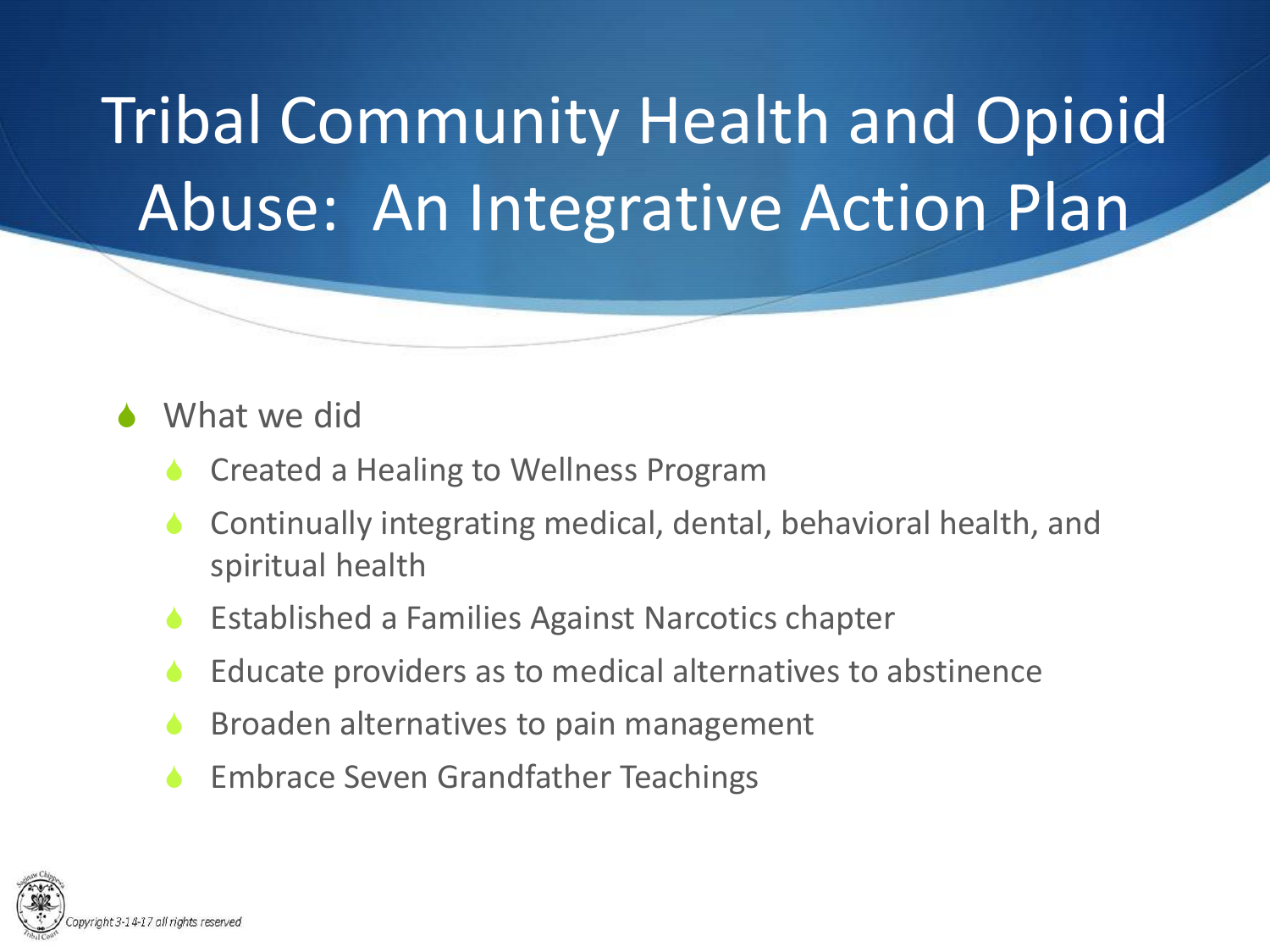#### What we did

- Created a Healing to Wellness Program
- Continually integrating medical, dental, behavioral health, and spiritual health
- Established a Families Against Narcotics chapter
- Educate providers as to medical alternatives to abstinence
- Broaden alternatives to pain management
- Embrace Seven Grandfather Teachings

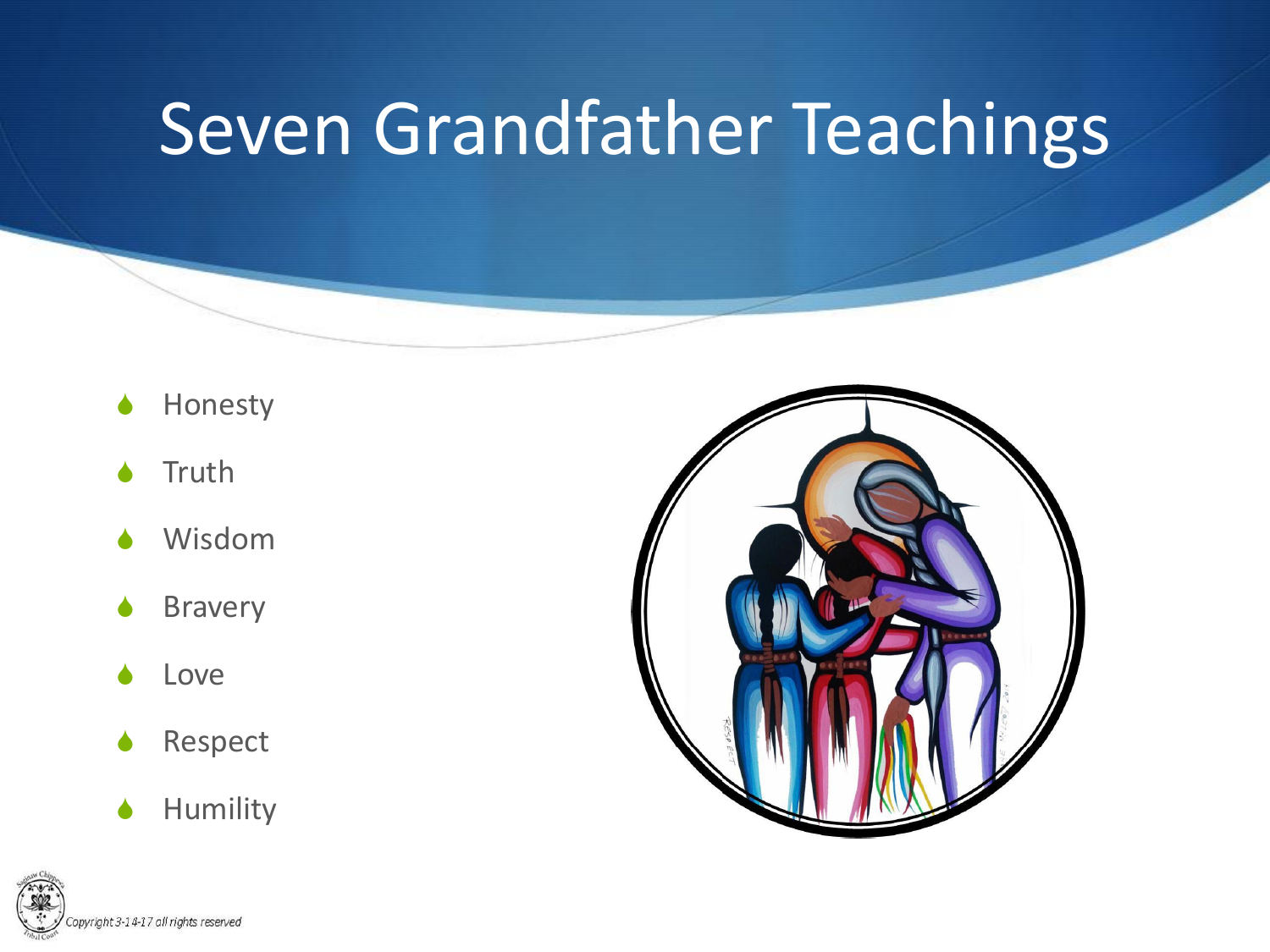#### Seven Grandfather Teachings

- Honesty
- **Truth**
- Wisdom
- **Bravery**
- Love
- Respect
- $\blacklozenge$  Humility



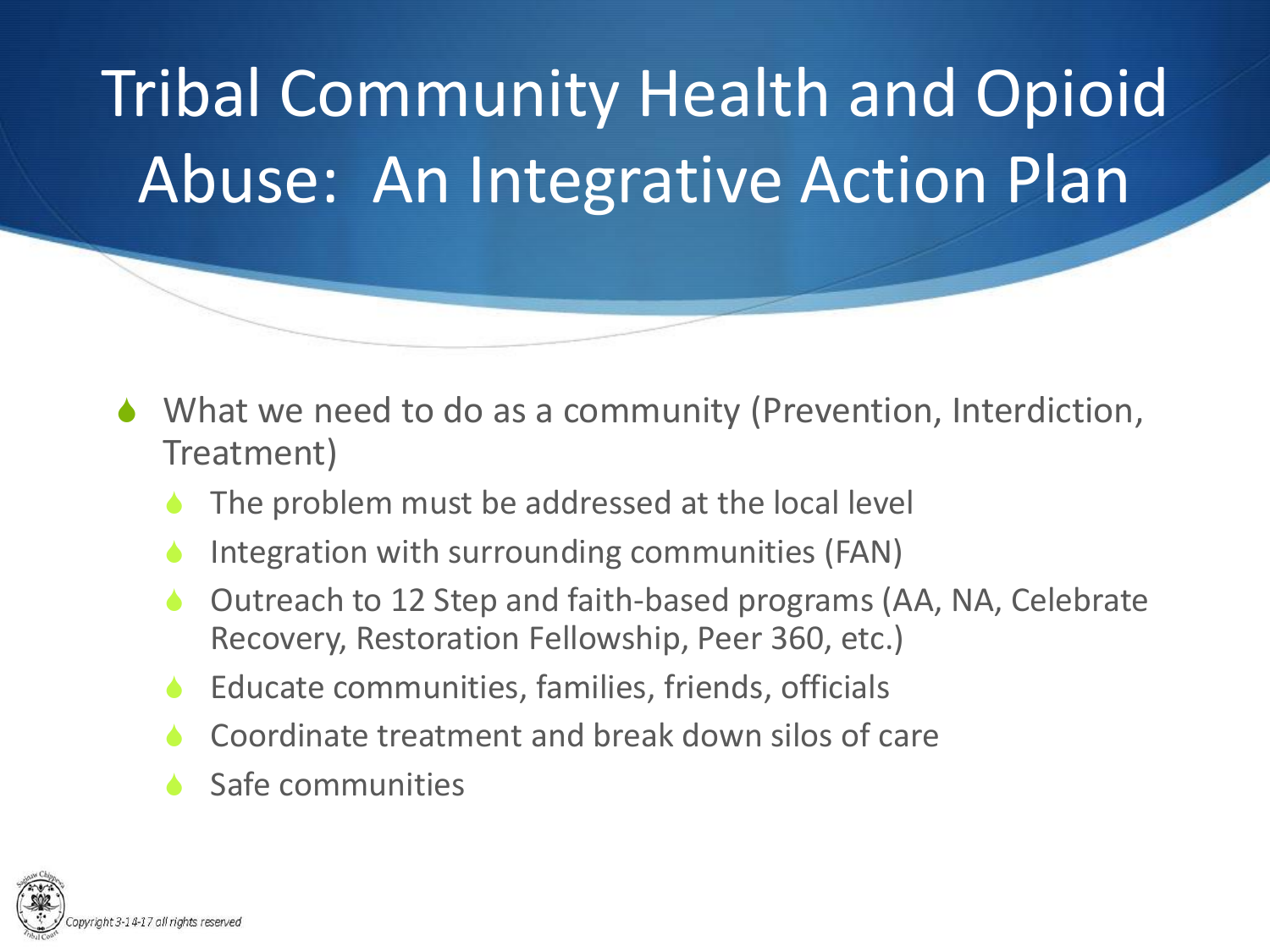- What we need to do as a community (Prevention, Interdiction, Treatment)
	- The problem must be addressed at the local level
	- Integration with surrounding communities (FAN)
	- Outreach to 12 Step and faith-based programs (AA, NA, Celebrate Recovery, Restoration Fellowship, Peer 360, etc.)
	- Educate communities, families, friends, officials
	- Coordinate treatment and break down silos of care
	- Safe communities

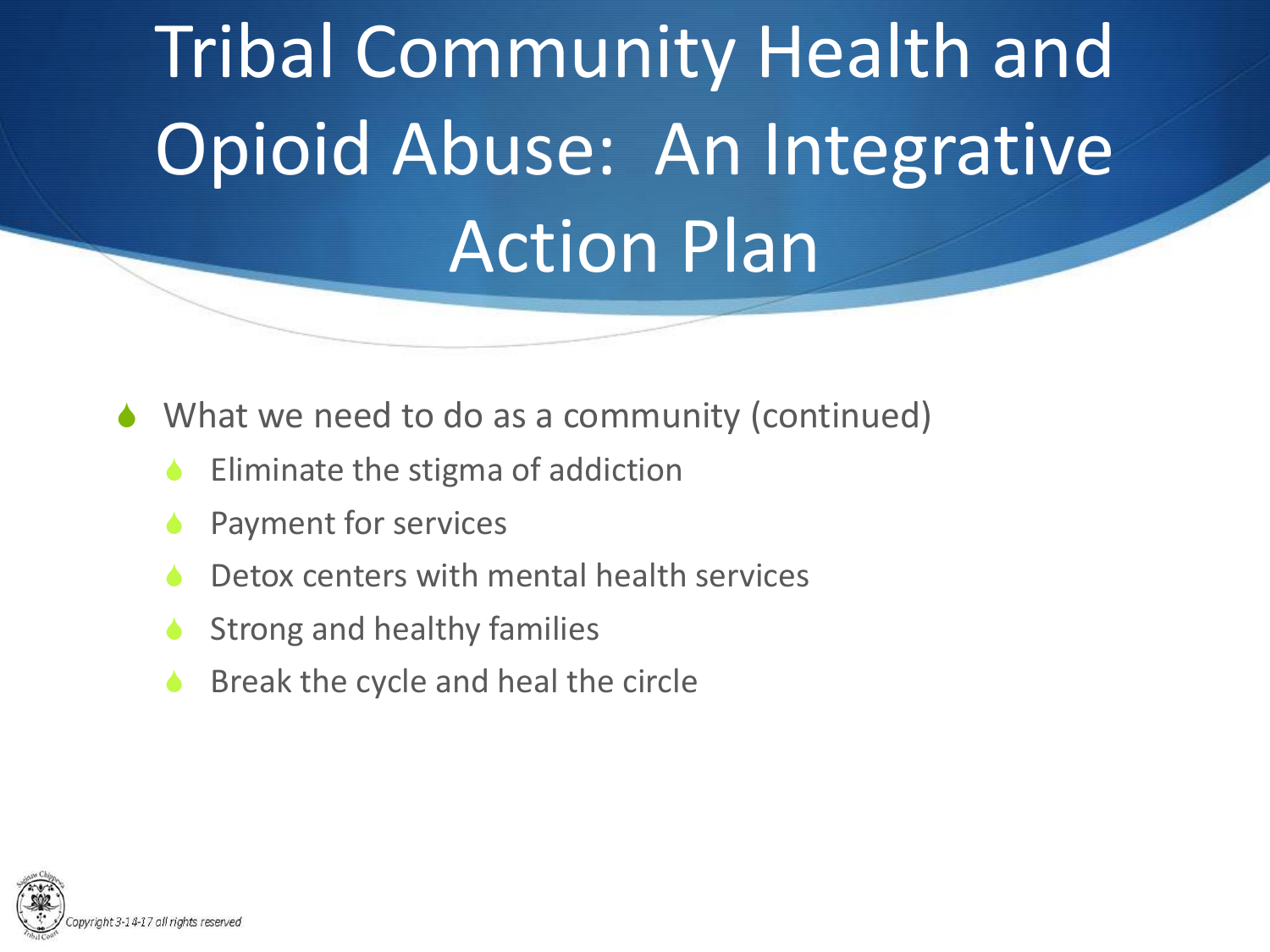- $\blacklozenge$  What we need to do as a community (continued)
	- Eliminate the stigma of addiction
	- Payment for services
	- Detox centers with mental health services
	- Strong and healthy families
	- Break the cycle and heal the circle

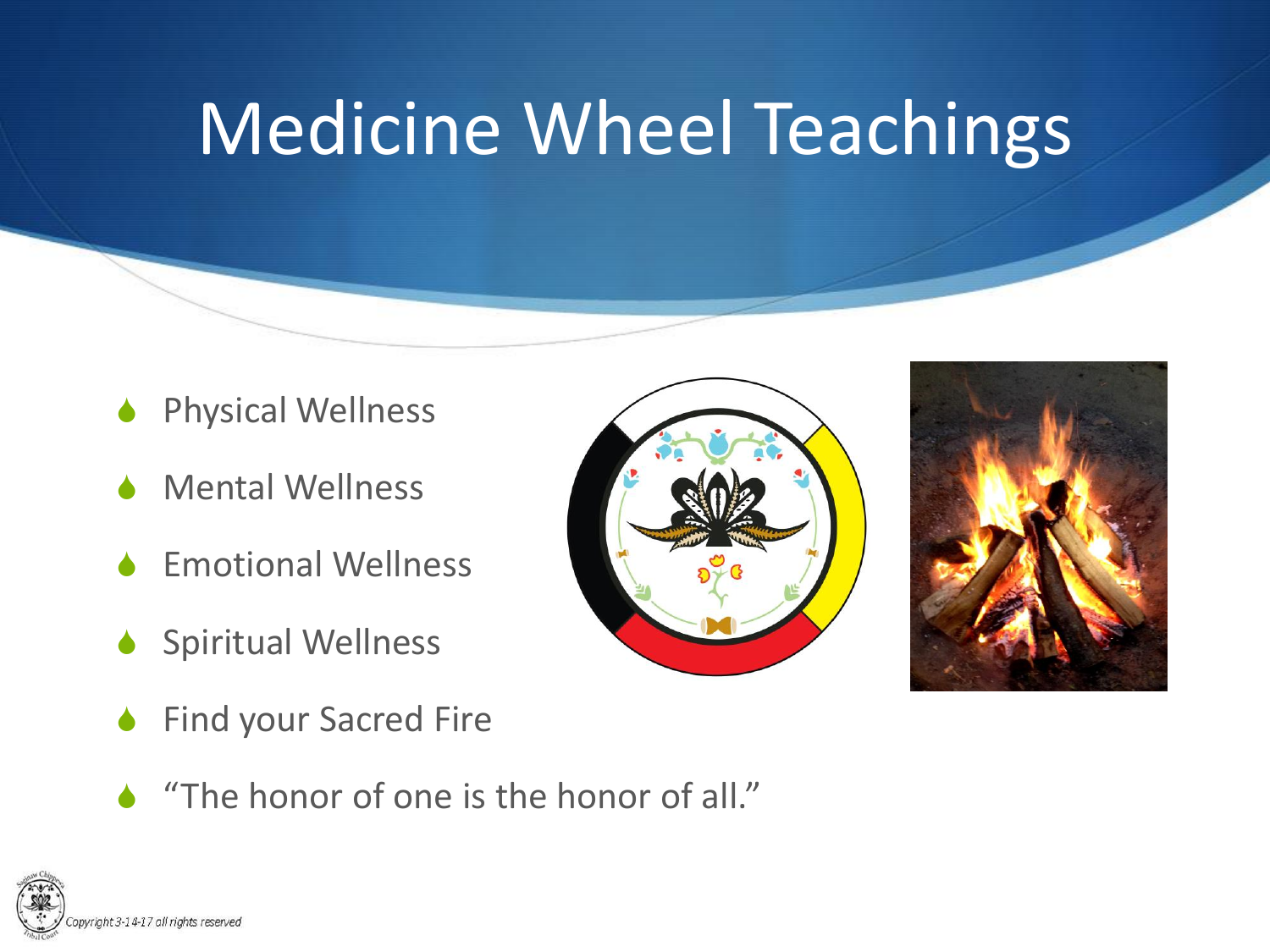## Medicine Wheel Teachings

- **Physical Wellness**
- **Mental Wellness**
- **Emotional Wellness**
- Spiritual Wellness
- Find your Sacred Fire
- $\triangle$  "The honor of one is the honor of all."





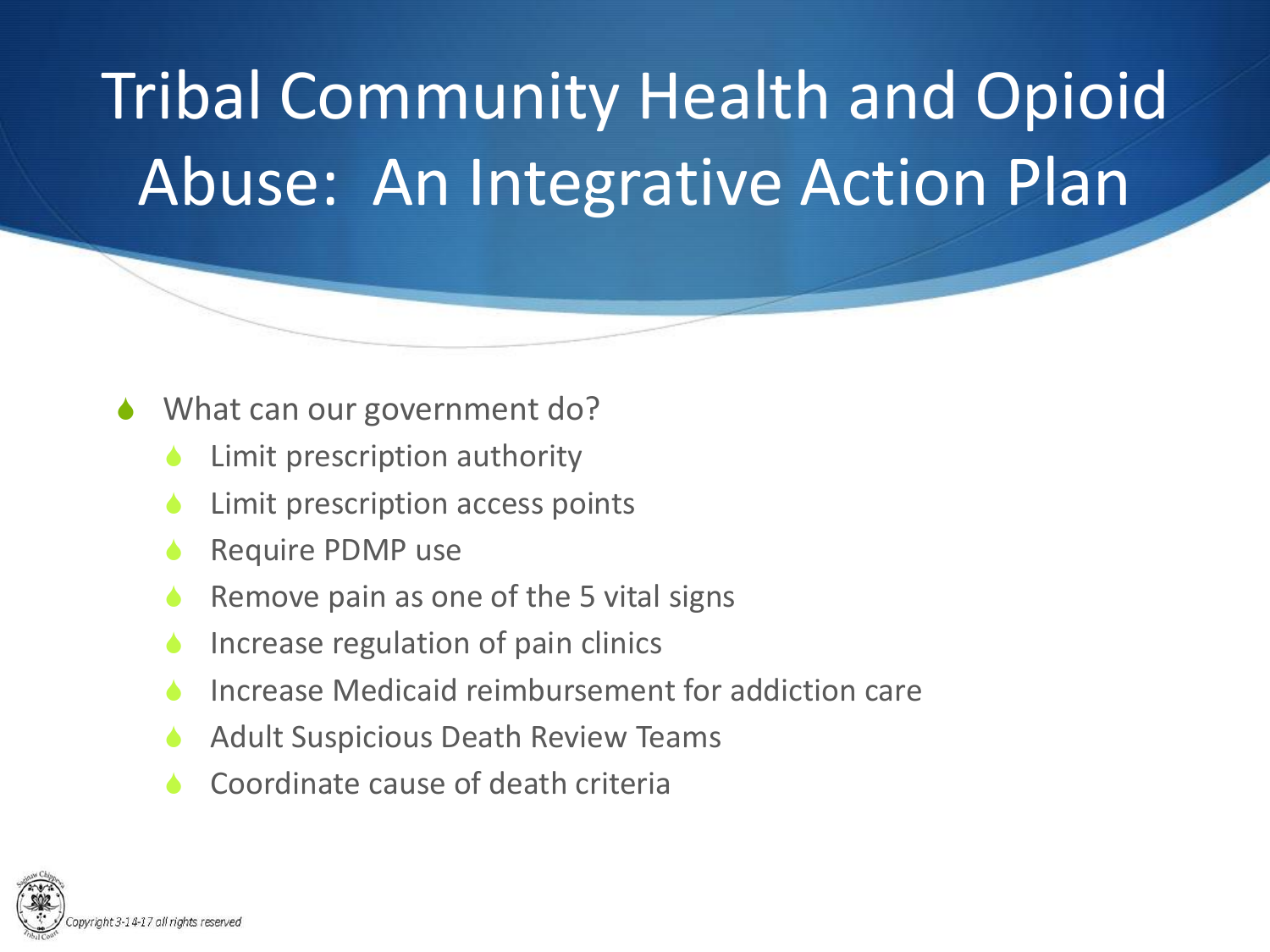- What can our government do?
	- Limit prescription authority
	- Limit prescription access points
	- Require PDMP use
	- Remove pain as one of the 5 vital signs
	- Increase regulation of pain clinics
	- Increase Medicaid reimbursement for addiction care
	- Adult Suspicious Death Review Teams
	- Coordinate cause of death criteria

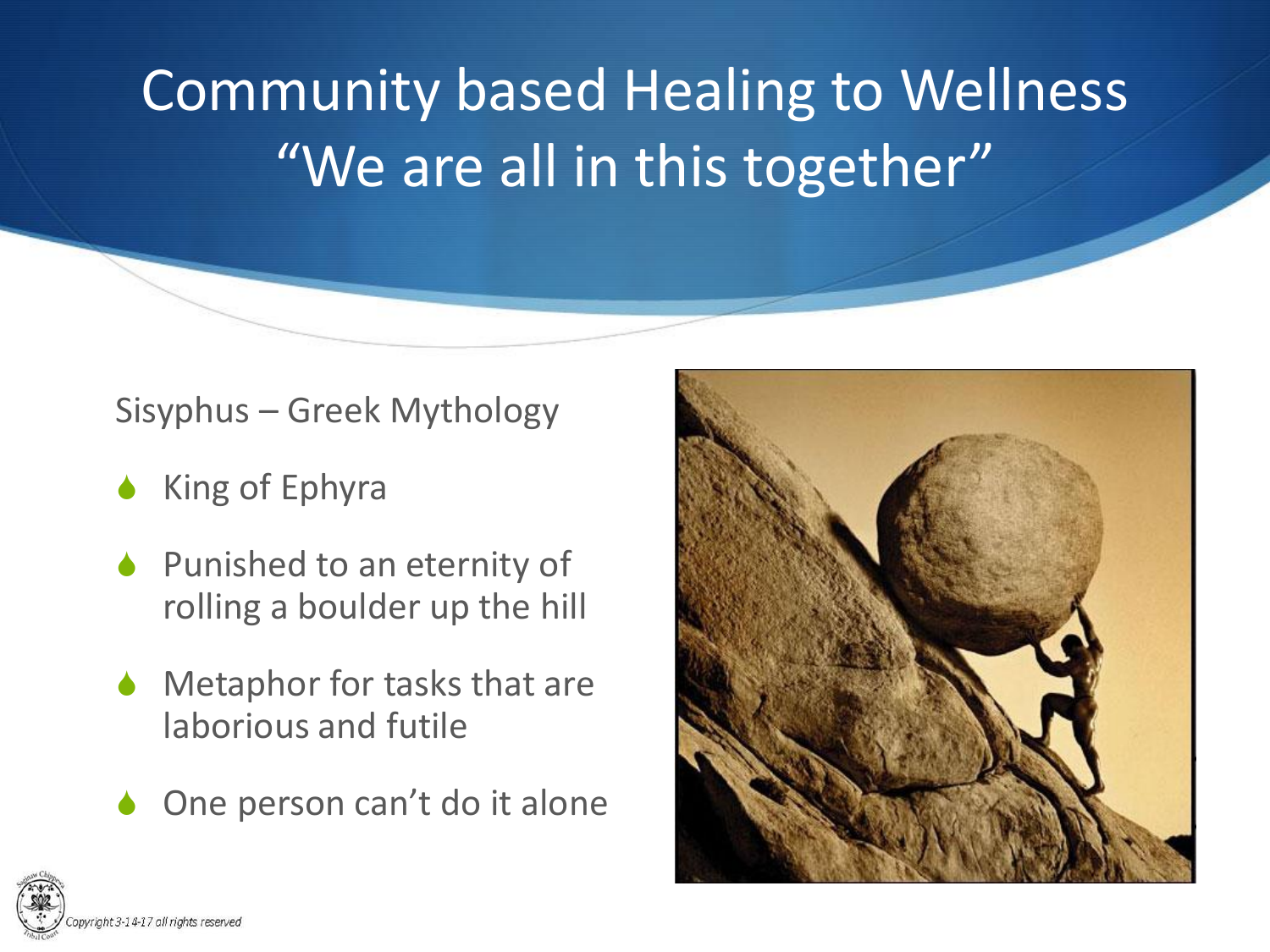#### Community based Healing to Wellness "We are all in this together"

#### Sisyphus – Greek Mythology

- King of Ephyra
- $\bullet$  Punished to an eternity of rolling a boulder up the hill
- Metaphor for tasks that are laborious and futile
- One person can't do it alone



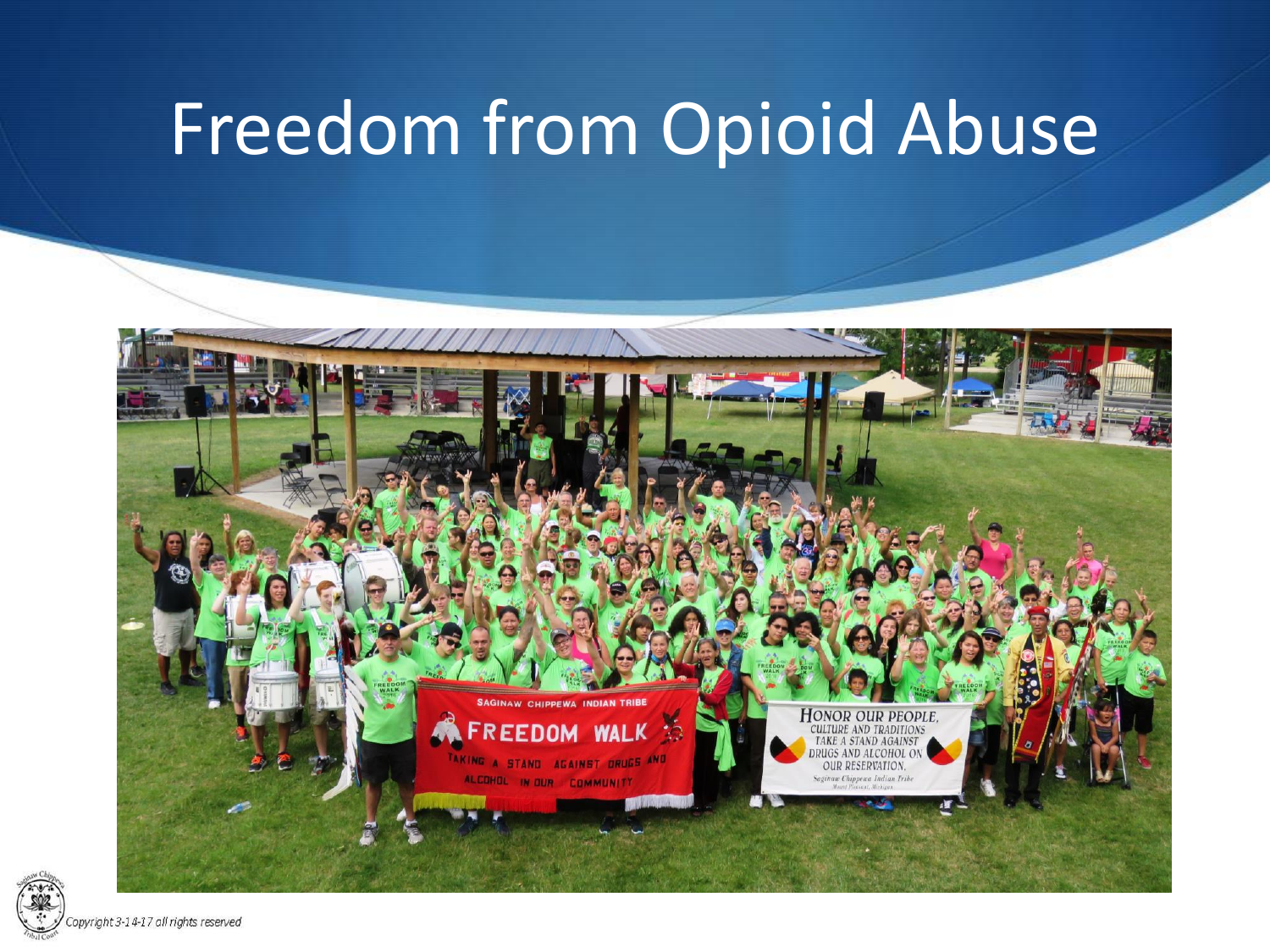#### Freedom from Opioid Abuse



pyright 3-14-17 all rights reserved